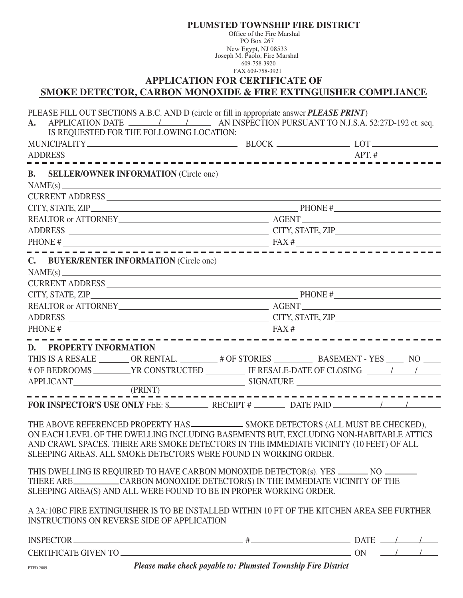Office of the Fire Marshal PO Box 267 New Egypt, NJ 08533 Joseph M. Paolo, Fire Marshal 609-758-3920 FAX 609-758-3921 **APPLICATION FOR CERTIFICATE OF SMOKE DETECTOR, CARBON MONOXIDE & FIRE EXTINGUISHER COMPLIANCE** PLEASE FILL OUT SECTIONS A.B.C. AND D (circle or fill in appropriate answer *PLEASE PRINT*) **A.** APPLICATION DATE / / AN INSPECTION PURSUANT TO N.J.S.A. 52:27D-192 et. seq. IS REQUESTED FOR THE FOLLOWING LOCATION: MUNICIPALITY BLOCK BLOCK BLOCK LOT ADDRESS APT. # **B. SELLER/OWNER INFORMATION** (Circle one)  $NAME(s)$ \_ CURRENT ADDRESS  $CITY, STATE, ZIP$ PHONE # REALTOR or ATTORNEY METHODS AGENT ADDRESS CITY, STATE, ZIP PHONE # FAX # **C. BUYER/RENTER INFORMATION** (Circle one) NAME(s) CURRENT ADDRESS CITY, STATE, ZIP PHONE # REALTOR or ATTORNEY AGENT ADDRESS CITY, STATE, ZIP PHONE # FAX # **D. PROPERTY INFORMATION** THIS IS A RESALE \_\_\_\_\_\_\_ OR RENTAL. \_\_\_\_\_\_\_\_ # OF STORIES \_\_\_\_\_\_\_\_\_\_\_ BASEMENT - YES \_\_\_\_\_ NO \_\_\_\_\_ # OF BEDROOMS \_\_\_\_\_\_\_\_\_\_YR CONSTRUCTED \_\_\_\_\_\_\_\_\_\_\_\_ IF RESALE-DATE OF CLOSING \_\_\_\_\_\_\_\_\_\_\_\_\_\_\_\_\_\_\_\_\_\_\_\_\_\_\_\_\_\_\_\_ APPLICANT SIGNATURE SIGNATURE (PRINT) -----------------------------**FOR INSPECTOR'S USE ONLY** FEE: \$ RECEIPT # DATE PAID / / THE ABOVE REFERENCED PROPERTY HAS SMOKE DETECTORS (ALL MUST BE CHECKED), ON EACH LEVEL OF THE DWELLING INCLUDING BASEMENTS BUT, EXCLUDING NON-HABITABLE ATTICS AND CRAWL SPACES. THERE ARE SMOKE DETECTORS IN THE IMMEDIATE VICINITY (10 FEET) OF ALL SLEEPING AREAS. ALL SMOKE DETECTORS WERE FOUND IN WORKING ORDER. THIS DWELLING IS REQUIRED TO HAVE CARBON MONOXIDE DETECTOR(s). YES \_\_\_\_\_\_\_\_ NO \_ THERE ARE CARBON MONOXIDE DETECTOR(S) IN THE IMMEDIATE VICINITY OF THE SLEEPING AREA(S) AND ALL WERE FOUND TO BE IN PROPER WORKING ORDER. A 2A:10BC FIRE EXTINGUISHER IS TO BE INSTALLED WITHIN 10 FT OF THE KITCHEN AREA SEE FURTHER INSTRUCTIONS ON REVERSE SIDE OF APPLICATION  $INSPECTOR$  DATE  $\longrightarrow$ CERTIFICATE GIVEN TO  $\overline{\phantom{a}}$ 

**PLUMSTED TOWNSHIP FIRE DISTRICT**

PTFD 2009 *Please make check payable to: Plumsted Township Fire District*